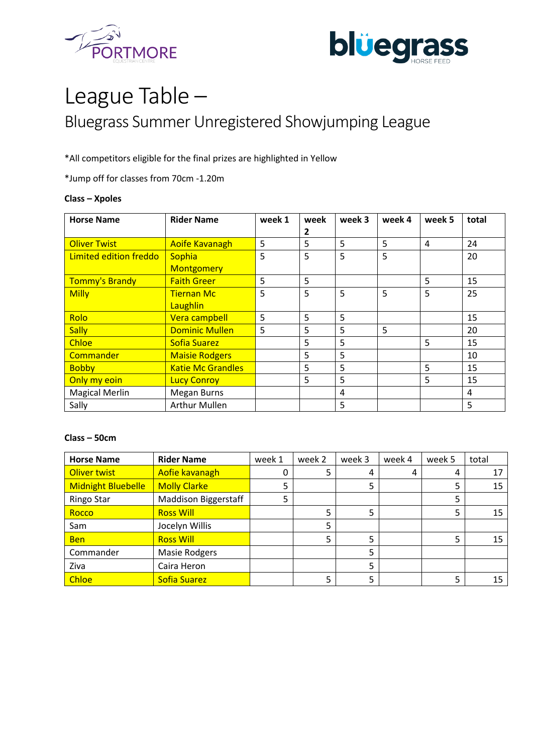



# League Table – Bluegrass Summer Unregistered Showjumping League

\*All competitors eligible for the final prizes are highlighted in Yellow

\*Jump off for classes from 70cm -1.20m

#### **Class – Xpoles**

| <b>Horse Name</b>      | <b>Rider Name</b>        | week 1 | week | week 3 | week 4 | week 5 | total |
|------------------------|--------------------------|--------|------|--------|--------|--------|-------|
|                        |                          |        | 2    |        |        |        |       |
| <b>Oliver Twist</b>    | <b>Aoife Kavanagh</b>    | 5      | 5    | 5      | 5      | 4      | 24    |
| Limited edition freddo | Sophia                   | 5      | 5    | 5      | 5      |        | 20    |
|                        | <b>Montgomery</b>        |        |      |        |        |        |       |
| Tommy's Brandy         | <b>Faith Greer</b>       | 5      | 5    |        |        | 5      | 15    |
| <b>Milly</b>           | <b>Tiernan Mc</b>        | 5      | 5    | 5      | 5      | 5      | 25    |
|                        | Laughlin                 |        |      |        |        |        |       |
| Rolo                   | Vera campbell            | 5      | 5    | 5      |        |        | 15    |
| <b>Sally</b>           | <b>Dominic Mullen</b>    | 5      | 5    | 5      | 5      |        | 20    |
| <b>Chloe</b>           | <b>Sofia Suarez</b>      |        | 5    | 5      |        | 5      | 15    |
| Commander              | <b>Maisie Rodgers</b>    |        | 5    | 5      |        |        | 10    |
| <b>Bobby</b>           | <b>Katie Mc Grandles</b> |        | 5    | 5      |        | 5      | 15    |
| Only my eoin           | <b>Lucy Conroy</b>       |        | 5    | 5      |        | 5      | 15    |
| <b>Magical Merlin</b>  | <b>Megan Burns</b>       |        |      | 4      |        |        | 4     |
| Sally                  | <b>Arthur Mullen</b>     |        |      | 5      |        |        | 5     |

# **Class – 50cm**

| <b>Horse Name</b>  | <b>Rider Name</b>           | week 1 | week 2 | week 3 | week 4 | week 5 | total |
|--------------------|-----------------------------|--------|--------|--------|--------|--------|-------|
| Oliver twist       | Aofie kavanagh              | 0      | 5      | 4      | 4      | 4      | 17    |
| Midnight Bluebelle | <b>Molly Clarke</b>         |        |        |        |        | 5      | 15    |
| <b>Ringo Star</b>  | <b>Maddison Biggerstaff</b> | 5      |        |        |        | 5      |       |
| Rocco              | <b>Ross Will</b>            |        | 5      | 5      |        | 5      | 15    |
| Sam                | Jocelyn Willis              |        | 5      |        |        |        |       |
| <b>Ben</b>         | <b>Ross Will</b>            |        | 5      | 5      |        | 5      | 15    |
| Commander          | <b>Masie Rodgers</b>        |        |        | 5      |        |        |       |
| Ziva               | Caira Heron                 |        |        | 5      |        |        |       |
| <b>Chloe</b>       | <b>Sofia Suarez</b>         |        | 5      | 5      |        | 5      | 15    |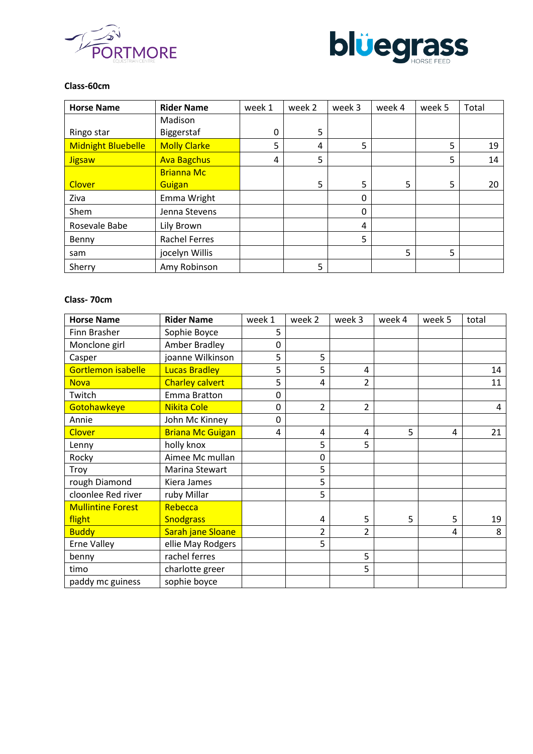



# **Class-60cm**

| <b>Horse Name</b>         | <b>Rider Name</b>    | week 1 | week 2 | week 3   | week 4 | week 5 | Total |
|---------------------------|----------------------|--------|--------|----------|--------|--------|-------|
|                           | Madison              |        |        |          |        |        |       |
| Ringo star                | Biggerstaf           | 0      | 5      |          |        |        |       |
| <b>Midnight Bluebelle</b> | <b>Molly Clarke</b>  | 5      | 4      | 5        |        | 5      | 19    |
| <b>Jigsaw</b>             | <b>Ava Bagchus</b>   | 4      | 5      |          |        | 5      | 14    |
|                           | <b>Brianna Mc</b>    |        |        |          |        |        |       |
| <b>Clover</b>             | Guigan               |        | 5      | 5        | 5      | 5      | 20    |
| Ziva                      | Emma Wright          |        |        | 0        |        |        |       |
| Shem                      | Jenna Stevens        |        |        | $\Omega$ |        |        |       |
| Rosevale Babe             | Lily Brown           |        |        | 4        |        |        |       |
| Benny                     | <b>Rachel Ferres</b> |        |        | 5        |        |        |       |
| sam                       | jocelyn Willis       |        |        |          | 5      | 5      |       |
| Sherry                    | Amy Robinson         |        | 5      |          |        |        |       |

# **Class- 70cm**

| <b>Horse Name</b>        | <b>Rider Name</b>       | week 1 | week 2         | week 3         | week 4 | week 5 | total |
|--------------------------|-------------------------|--------|----------------|----------------|--------|--------|-------|
| Finn Brasher             | Sophie Boyce            | 5      |                |                |        |        |       |
| Monclone girl            | <b>Amber Bradley</b>    | 0      |                |                |        |        |       |
| Casper                   | joanne Wilkinson        | 5      | 5              |                |        |        |       |
| Gortlemon isabelle       | <b>Lucas Bradley</b>    | 5      | 5              | 4              |        |        | 14    |
| <b>Nova</b>              | <b>Charley calvert</b>  | 5      | 4              | 2              |        |        | 11    |
| Twitch                   | Emma Bratton            | 0      |                |                |        |        |       |
| Gotohawkeye              | Nikita Cole             | 0      | $\overline{2}$ | 2              |        |        | 4     |
| Annie                    | John Mc Kinney          | 0      |                |                |        |        |       |
| <b>Clover</b>            | <b>Briana Mc Guigan</b> | 4      | 4              | $\overline{4}$ | 5      | 4      | 21    |
| Lenny                    | holly knox              |        | 5              | 5              |        |        |       |
| Rocky                    | Aimee Mc mullan         |        | 0              |                |        |        |       |
| Troy                     | Marina Stewart          |        | 5              |                |        |        |       |
| rough Diamond            | Kiera James             |        | 5              |                |        |        |       |
| cloonlee Red river       | ruby Millar             |        | 5              |                |        |        |       |
| <b>Mullintine Forest</b> | Rebecca                 |        |                |                |        |        |       |
| flight                   | <b>Snodgrass</b>        |        | 4              | 5              | 5      | 5      | 19    |
| <b>Buddy</b>             | Sarah jane Sloane       |        | $\overline{2}$ | 2              |        | 4      | 8     |
| <b>Erne Valley</b>       | ellie May Rodgers       |        | 5              |                |        |        |       |
| benny                    | rachel ferres           |        |                | 5              |        |        |       |
| timo                     | charlotte greer         |        |                | 5              |        |        |       |
| paddy mc guiness         | sophie boyce            |        |                |                |        |        |       |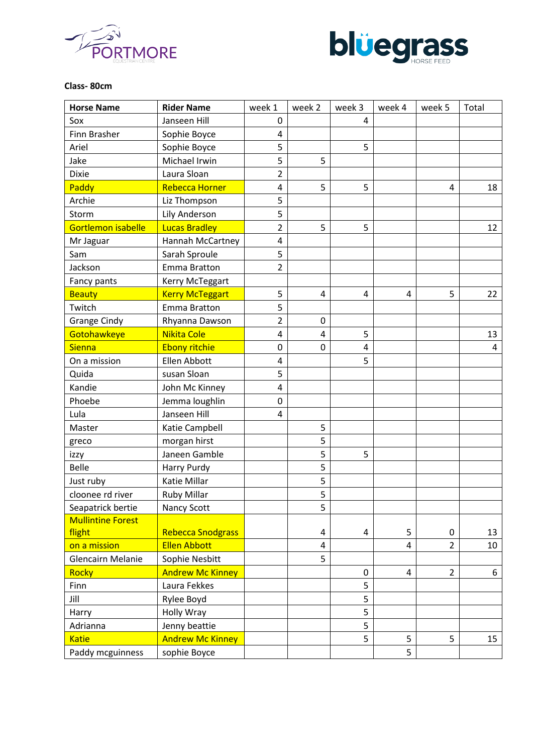



# **Class- 80cm**

| <b>Horse Name</b>        | <b>Rider Name</b>        | week 1         | week 2                  | week 3 | week 4         | week 5         | Total |
|--------------------------|--------------------------|----------------|-------------------------|--------|----------------|----------------|-------|
| Sox                      | Janseen Hill             | $\mathbf 0$    |                         | 4      |                |                |       |
| Finn Brasher             | Sophie Boyce             | $\overline{4}$ |                         |        |                |                |       |
| Ariel                    | Sophie Boyce             | 5              |                         | 5      |                |                |       |
| Jake                     | Michael Irwin            | 5              | 5                       |        |                |                |       |
| <b>Dixie</b>             | Laura Sloan              | $\overline{2}$ |                         |        |                |                |       |
| Paddy                    | Rebecca Horner           | $\overline{4}$ | 5                       | 5      |                | 4              | 18    |
| Archie                   | Liz Thompson             | 5              |                         |        |                |                |       |
| Storm                    | Lily Anderson            | 5              |                         |        |                |                |       |
| Gortlemon isabelle       | <b>Lucas Bradley</b>     | $\overline{2}$ | 5                       | 5      |                |                | 12    |
| Mr Jaguar                | Hannah McCartney         | 4              |                         |        |                |                |       |
| Sam                      | Sarah Sproule            | 5              |                         |        |                |                |       |
| Jackson                  | Emma Bratton             | 2              |                         |        |                |                |       |
| Fancy pants              | Kerry McTeggart          |                |                         |        |                |                |       |
| <b>Beauty</b>            | <b>Kerry McTeggart</b>   | 5              | 4                       | 4      | 4              | 5              | 22    |
| Twitch                   | <b>Emma Bratton</b>      | 5              |                         |        |                |                |       |
| <b>Grange Cindy</b>      | Rhyanna Dawson           | $\overline{2}$ | 0                       |        |                |                |       |
| Gotohawkeye              | Nikita Cole              | $\overline{4}$ | 4                       | 5      |                |                | 13    |
| <b>Sienna</b>            | <b>Ebony ritchie</b>     | $\mathbf 0$    | 0                       | 4      |                |                | 4     |
| On a mission             | Ellen Abbott             | 4              |                         | 5      |                |                |       |
| Quida                    | susan Sloan              | 5              |                         |        |                |                |       |
| Kandie                   | John Mc Kinney           | 4              |                         |        |                |                |       |
| Phoebe                   | Jemma loughlin           | 0              |                         |        |                |                |       |
| Lula                     | Janseen Hill             | 4              |                         |        |                |                |       |
| Master                   | Katie Campbell           |                | 5                       |        |                |                |       |
| greco                    | morgan hirst             |                | 5                       |        |                |                |       |
| izzy                     | Janeen Gamble            |                | 5                       | 5      |                |                |       |
| Belle                    | Harry Purdy              |                | 5                       |        |                |                |       |
| Just ruby                | Katie Millar             |                | 5                       |        |                |                |       |
| cloonee rd river         | <b>Ruby Millar</b>       |                | 5                       |        |                |                |       |
| Seapatrick bertie        | <b>Nancy Scott</b>       |                | 5                       |        |                |                |       |
| <b>Mullintine Forest</b> |                          |                |                         |        |                |                |       |
| flight                   | <b>Rebecca Snodgrass</b> |                | 4                       | 4      | 5              | 0              | 13    |
| on a mission             | <b>Ellen Abbott</b>      |                | $\overline{\mathbf{4}}$ |        | $\overline{4}$ | $\overline{2}$ | 10    |
| Glencairn Melanie        | Sophie Nesbitt           |                | 5                       |        |                |                |       |
| <b>Rocky</b>             | <b>Andrew Mc Kinney</b>  |                |                         | 0      | 4              | $\overline{2}$ | 6     |
| Finn                     | Laura Fekkes             |                |                         | 5      |                |                |       |
| Jill                     | Rylee Boyd               |                |                         | 5      |                |                |       |
| Harry                    | Holly Wray               |                |                         | 5      |                |                |       |
| Adrianna                 | Jenny beattie            |                |                         | 5      |                |                |       |
| <b>Katie</b>             | <b>Andrew Mc Kinney</b>  |                |                         | 5      | 5              | 5              | 15    |
| Paddy mcguinness         | sophie Boyce             |                |                         |        | 5              |                |       |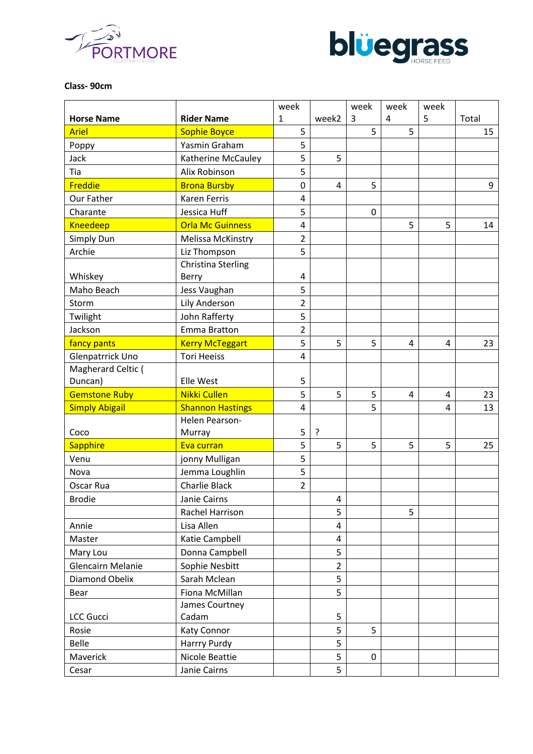



#### **Class- 90cm**

|                       |                         | week           |                | week | week | week |       |
|-----------------------|-------------------------|----------------|----------------|------|------|------|-------|
| <b>Horse Name</b>     | <b>Rider Name</b>       | $\mathbf{1}$   | week2          | 3    | 4    | 5    | Total |
| <b>Ariel</b>          | <b>Sophie Boyce</b>     | 5              |                | 5    | 5    |      | 15    |
| Poppy                 | Yasmin Graham           | 5              |                |      |      |      |       |
| Jack                  | Katherine McCauley      | 5              | 5              |      |      |      |       |
| Tia                   | Alix Robinson           | 5              |                |      |      |      |       |
| Freddie               | <b>Brona Bursby</b>     | 0              | 4              | 5    |      |      | 9     |
| Our Father            | Karen Ferris            | 4              |                |      |      |      |       |
| Charante              | Jessica Huff            | 5              |                | 0    |      |      |       |
| <b>Kneedeep</b>       | <b>Orla Mc Guinness</b> | 4              |                |      | 5    | 5    | 14    |
| Simply Dun            | Melissa McKinstry       | $\overline{2}$ |                |      |      |      |       |
| Archie                | Liz Thompson            | 5              |                |      |      |      |       |
|                       | Christina Sterling      |                |                |      |      |      |       |
| Whiskey               | <b>Berry</b>            | 4              |                |      |      |      |       |
| Maho Beach            | Jess Vaughan            | 5              |                |      |      |      |       |
| Storm                 | Lily Anderson           | $\overline{2}$ |                |      |      |      |       |
| Twilight              | John Rafferty           | 5              |                |      |      |      |       |
| Jackson               | <b>Emma Bratton</b>     | $\overline{2}$ |                |      |      |      |       |
| fancy pants           | <b>Kerry McTeggart</b>  | 5              | 5              | 5    | 4    | 4    | 23    |
| Glenpatrrick Uno      | <b>Tori Heeiss</b>      | $\overline{4}$ |                |      |      |      |       |
| Magherard Celtic (    |                         |                |                |      |      |      |       |
| Duncan)               | Elle West               | 5              |                |      |      |      |       |
| <b>Gemstone Ruby</b>  | <b>Nikki Cullen</b>     | 5              | 5              | 5    | 4    | 4    | 23    |
| <b>Simply Abigail</b> | <b>Shannon Hastings</b> | $\overline{4}$ |                | 5    |      | 4    | 13    |
|                       | Helen Pearson-          |                |                |      |      |      |       |
| Coco                  | Murray                  | 5              | ?              |      |      |      |       |
| <b>Sapphire</b>       | Eva curran              | 5              | 5              | 5    | 5    | 5    | 25    |
| Venu                  | jonny Mulligan          | 5              |                |      |      |      |       |
| Nova                  | Jemma Loughlin          | 5              |                |      |      |      |       |
| Oscar Rua             | <b>Charlie Black</b>    | $\overline{2}$ |                |      |      |      |       |
| <b>Brodie</b>         | Janie Cairns            |                | 4              |      |      |      |       |
|                       | Rachel Harrison         |                | 5              |      | 5    |      |       |
| Annie                 | Lisa Allen              |                | $\overline{4}$ |      |      |      |       |
| Master                | Katie Campbell          |                | $\overline{4}$ |      |      |      |       |
| Mary Lou              | Donna Campbell          |                | 5              |      |      |      |       |
| Glencairn Melanie     | Sophie Nesbitt          |                | $\overline{2}$ |      |      |      |       |
| Diamond Obelix        | Sarah Mclean            |                | 5              |      |      |      |       |
| Bear                  | Fiona McMillan          |                | 5              |      |      |      |       |
|                       | James Courtney          |                |                |      |      |      |       |
| <b>LCC Gucci</b>      | Cadam                   |                | 5              |      |      |      |       |
| Rosie                 | <b>Katy Connor</b>      |                | 5              | 5    |      |      |       |
| Belle                 | Harrry Purdy            |                | 5              |      |      |      |       |
| Maverick              | Nicole Beattie          |                | 5              | 0    |      |      |       |
| Cesar                 | Janie Cairns            |                | 5              |      |      |      |       |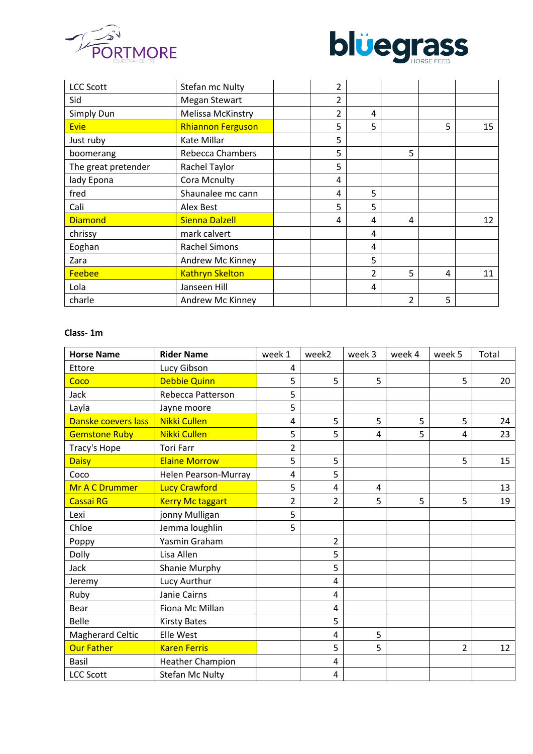



| <b>LCC Scott</b>    | Stefan mc Nulty          | 2 |   |   |   |    |
|---------------------|--------------------------|---|---|---|---|----|
| Sid                 | <b>Megan Stewart</b>     | 2 |   |   |   |    |
| Simply Dun          | Melissa McKinstry        | 2 | 4 |   |   |    |
| <b>Evie</b>         | <b>Rhiannon Ferguson</b> | 5 | 5 |   | 5 | 15 |
| Just ruby           | Kate Millar              | 5 |   |   |   |    |
| boomerang           | <b>Rebecca Chambers</b>  | 5 |   | 5 |   |    |
| The great pretender | Rachel Taylor            | 5 |   |   |   |    |
| lady Epona          | Cora Mcnulty             | 4 |   |   |   |    |
| fred                | Shaunalee mc cann        | 4 | 5 |   |   |    |
| Cali                | Alex Best                | 5 | 5 |   |   |    |
| <b>Diamond</b>      | <b>Sienna Dalzell</b>    | 4 | 4 | 4 |   | 12 |
| chrissy             | mark calvert             |   | 4 |   |   |    |
| Eoghan              | <b>Rachel Simons</b>     |   | 4 |   |   |    |
| Zara                | Andrew Mc Kinney         |   | 5 |   |   |    |
| <b>Feebee</b>       | <b>Kathryn Skelton</b>   |   | 2 | 5 | 4 | 11 |
| Lola                | Janseen Hill             |   | 4 |   |   |    |
| charle              | Andrew Mc Kinney         |   |   | 2 | 5 |    |

# **Class- 1m**

| <b>Horse Name</b>       | <b>Rider Name</b>       | week 1         | week2          | week 3 | week 4 | week 5         | Total |
|-------------------------|-------------------------|----------------|----------------|--------|--------|----------------|-------|
| Ettore                  | Lucy Gibson             | 4              |                |        |        |                |       |
| Coco                    | <b>Debbie Quinn</b>     | 5              | 5              | 5      |        | 5              | 20    |
| Jack                    | Rebecca Patterson       | 5              |                |        |        |                |       |
| Layla                   | Jayne moore             | 5              |                |        |        |                |       |
| Danske coevers lass     | <b>Nikki Cullen</b>     | 4              | 5              | 5      | 5      | 5              | 24    |
| <b>Gemstone Ruby</b>    | Nikki Cullen            | 5              | 5              | 4      | 5      | 4              | 23    |
| Tracy's Hope            | <b>Tori Farr</b>        | $\overline{2}$ |                |        |        |                |       |
| <b>Daisy</b>            | <b>Elaine Morrow</b>    | 5              | 5              |        |        | 5              | 15    |
| Coco                    | Helen Pearson-Murray    | 4              | 5              |        |        |                |       |
| Mr A C Drummer          | <b>Lucy Crawford</b>    | 5              | 4              | 4      |        |                | 13    |
| Cassai RG               | <b>Kerry Mc taggart</b> | $\overline{2}$ | $\overline{2}$ | 5      | 5      | 5              | 19    |
| Lexi                    | jonny Mulligan          | 5              |                |        |        |                |       |
| Chloe                   | Jemma loughlin          | 5              |                |        |        |                |       |
| Poppy                   | Yasmin Graham           |                | $\overline{2}$ |        |        |                |       |
| Dolly                   | Lisa Allen              |                | 5              |        |        |                |       |
| Jack                    | Shanie Murphy           |                | 5              |        |        |                |       |
| Jeremy                  | Lucy Aurthur            |                | 4              |        |        |                |       |
| Ruby                    | Janie Cairns            |                | 4              |        |        |                |       |
| Bear                    | Fiona Mc Millan         |                | 4              |        |        |                |       |
| <b>Belle</b>            | <b>Kirsty Bates</b>     |                | 5              |        |        |                |       |
| <b>Magherard Celtic</b> | Elle West               |                | 4              | 5      |        |                |       |
| <b>Our Father</b>       | <b>Karen Ferris</b>     |                | 5              | 5      |        | $\overline{2}$ | 12    |
| <b>Basil</b>            | <b>Heather Champion</b> |                | 4              |        |        |                |       |
| <b>LCC Scott</b>        | <b>Stefan Mc Nulty</b>  |                | 4              |        |        |                |       |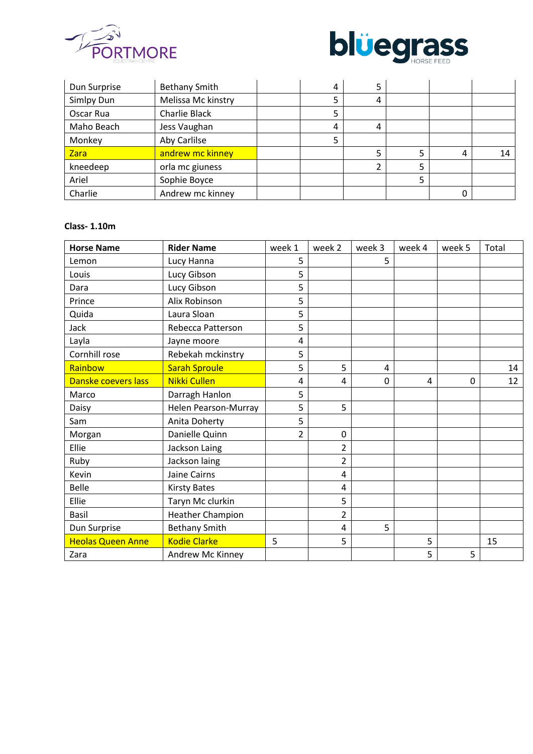



| Dun Surprise | <b>Bethany Smith</b> | 4 | 5 |   |    |
|--------------|----------------------|---|---|---|----|
| Simlpy Dun   | Melissa Mc kinstry   |   | 4 |   |    |
| Oscar Rua    | Charlie Black        |   |   |   |    |
| Maho Beach   | Jess Vaughan         | 4 | 4 |   |    |
| Monkey       | Aby Carlilse         |   |   |   |    |
| Zara         | andrew mc kinney     |   | 5 | 4 | 14 |
| kneedeep     | orla mc giuness      |   |   |   |    |
| Ariel        | Sophie Boyce         |   |   |   |    |
| Charlie      | Andrew mc kinney     |   |   |   |    |

# **Class- 1.10m**

| <b>Horse Name</b>        | <b>Rider Name</b>       | week 1         | week 2         | week 3      | week 4 | week 5 | Total |
|--------------------------|-------------------------|----------------|----------------|-------------|--------|--------|-------|
| Lemon                    | Lucy Hanna              | 5              |                | 5           |        |        |       |
| Louis                    | Lucy Gibson             | 5              |                |             |        |        |       |
| Dara                     | Lucy Gibson             | 5              |                |             |        |        |       |
| Prince                   | Alix Robinson           | 5              |                |             |        |        |       |
| Quida                    | Laura Sloan             | 5              |                |             |        |        |       |
| Jack                     | Rebecca Patterson       | 5              |                |             |        |        |       |
| Layla                    | Jayne moore             | 4              |                |             |        |        |       |
| Cornhill rose            | Rebekah mckinstry       | 5              |                |             |        |        |       |
| Rainbow                  | <b>Sarah Sproule</b>    | 5              | 5              | 4           |        |        | 14    |
| Danske coevers lass      | <b>Nikki Cullen</b>     | 4              | 4              | $\mathbf 0$ | 4      | 0      | 12    |
| Marco                    | Darragh Hanlon          | 5              |                |             |        |        |       |
| Daisy                    | Helen Pearson-Murray    | 5              | 5              |             |        |        |       |
| Sam                      | Anita Doherty           | 5              |                |             |        |        |       |
| Morgan                   | Danielle Quinn          | $\overline{2}$ | $\mathbf 0$    |             |        |        |       |
| Ellie                    | Jackson Laing           |                | $\overline{2}$ |             |        |        |       |
| Ruby                     | Jackson laing           |                | $\overline{2}$ |             |        |        |       |
| Kevin                    | Jaine Cairns            |                | $\overline{4}$ |             |        |        |       |
| Belle                    | <b>Kirsty Bates</b>     |                | 4              |             |        |        |       |
| Ellie                    | Taryn Mc clurkin        |                | 5              |             |        |        |       |
| Basil                    | <b>Heather Champion</b> |                | $\overline{2}$ |             |        |        |       |
| Dun Surprise             | <b>Bethany Smith</b>    |                | 4              | 5           |        |        |       |
| <b>Heolas Queen Anne</b> | <b>Kodie Clarke</b>     | 5              | 5              |             | 5      |        | 15    |
| Zara                     | Andrew Mc Kinney        |                |                |             | 5      | 5      |       |